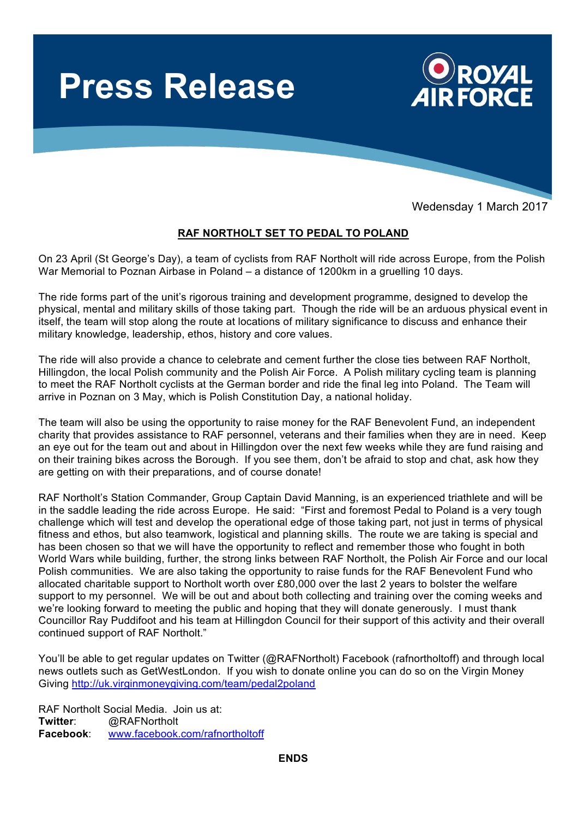

Wedensday 1 March 2017

## **RAF NORTHOLT SET TO PEDAL TO POLAND**

On 23 April (St George's Day), a team of cyclists from RAF Northolt will ride across Europe, from the Polish War Memorial to Poznan Airbase in Poland – a distance of 1200km in a gruelling 10 days.

The ride forms part of the unit's rigorous training and development programme, designed to develop the physical, mental and military skills of those taking part. Though the ride will be an arduous physical event in itself, the team will stop along the route at locations of military significance to discuss and enhance their military knowledge, leadership, ethos, history and core values.

The ride will also provide a chance to celebrate and cement further the close ties between RAF Northolt, Hillingdon, the local Polish community and the Polish Air Force. A Polish military cycling team is planning to meet the RAF Northolt cyclists at the German border and ride the final leg into Poland. The Team will arrive in Poznan on 3 May, which is Polish Constitution Day, a national holiday.

The team will also be using the opportunity to raise money for the RAF Benevolent Fund, an independent charity that provides assistance to RAF personnel, veterans and their families when they are in need. Keep an eye out for the team out and about in Hillingdon over the next few weeks while they are fund raising and on their training bikes across the Borough. If you see them, don't be afraid to stop and chat, ask how they are getting on with their preparations, and of course donate!

RAF Northolt's Station Commander, Group Captain David Manning, is an experienced triathlete and will be in the saddle leading the ride across Europe. He said: "First and foremost Pedal to Poland is a very tough challenge which will test and develop the operational edge of those taking part, not just in terms of physical fitness and ethos, but also teamwork, logistical and planning skills. The route we are taking is special and has been chosen so that we will have the opportunity to reflect and remember those who fought in both World Wars while building, further, the strong links between RAF Northolt, the Polish Air Force and our local Polish communities. We are also taking the opportunity to raise funds for the RAF Benevolent Fund who allocated charitable support to Northolt worth over £80,000 over the last 2 years to bolster the welfare support to my personnel. We will be out and about both collecting and training over the coming weeks and we're looking forward to meeting the public and hoping that they will donate generously. I must thank Councillor Ray Puddifoot and his team at Hillingdon Council for their support of this activity and their overall continued support of RAF Northolt."

You'll be able to get regular updates on Twitter (@RAFNortholt) Facebook (rafnortholtoff) and through local news outlets such as GetWestLondon. If you wish to donate online you can do so on the Virgin Money Giving http://uk.virginmoneygiving.com/team/pedal2poland

RAF Northolt Social Media. Join us at: **Twitter**: @RAFNortholt **Facebook**: www.facebook.com/rafnortholtoff